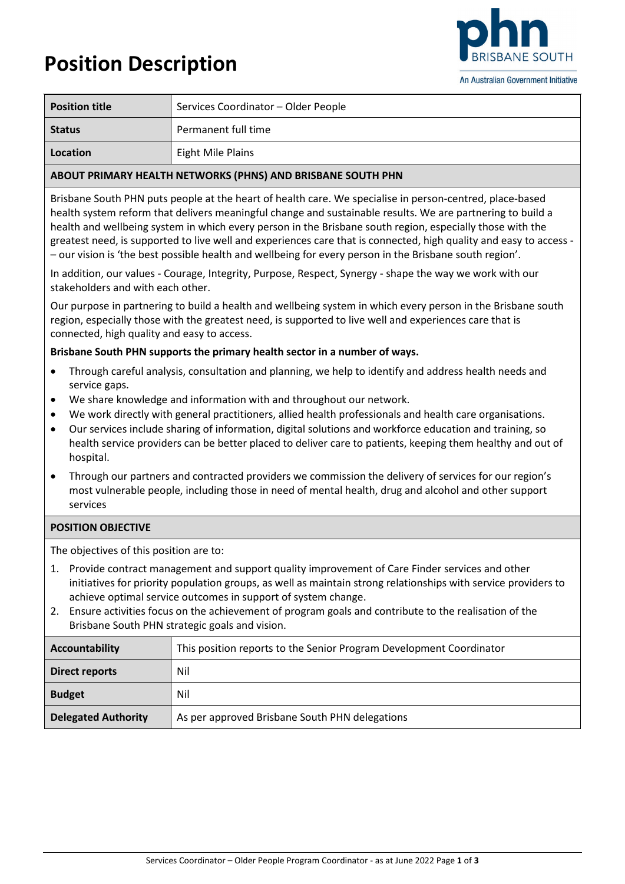# **Position Description**



| <b>Position title</b>                                                                                                                                                                                                                                                                                                                                                                                                                                                                                                                                                                                                                                                                                                                                                                                                                | Services Coordinator - Older People                                 |  |
|--------------------------------------------------------------------------------------------------------------------------------------------------------------------------------------------------------------------------------------------------------------------------------------------------------------------------------------------------------------------------------------------------------------------------------------------------------------------------------------------------------------------------------------------------------------------------------------------------------------------------------------------------------------------------------------------------------------------------------------------------------------------------------------------------------------------------------------|---------------------------------------------------------------------|--|
| <b>Status</b>                                                                                                                                                                                                                                                                                                                                                                                                                                                                                                                                                                                                                                                                                                                                                                                                                        | Permanent full time                                                 |  |
| Location                                                                                                                                                                                                                                                                                                                                                                                                                                                                                                                                                                                                                                                                                                                                                                                                                             | <b>Eight Mile Plains</b>                                            |  |
| ABOUT PRIMARY HEALTH NETWORKS (PHNS) AND BRISBANE SOUTH PHN                                                                                                                                                                                                                                                                                                                                                                                                                                                                                                                                                                                                                                                                                                                                                                          |                                                                     |  |
| Brisbane South PHN puts people at the heart of health care. We specialise in person-centred, place-based<br>health system reform that delivers meaningful change and sustainable results. We are partnering to build a<br>health and wellbeing system in which every person in the Brisbane south region, especially those with the<br>greatest need, is supported to live well and experiences care that is connected, high quality and easy to access -<br>- our vision is 'the best possible health and wellbeing for every person in the Brisbane south region'.<br>In addition, our values - Courage, Integrity, Purpose, Respect, Synergy - shape the way we work with our                                                                                                                                                     |                                                                     |  |
| stakeholders and with each other.                                                                                                                                                                                                                                                                                                                                                                                                                                                                                                                                                                                                                                                                                                                                                                                                    |                                                                     |  |
| Our purpose in partnering to build a health and wellbeing system in which every person in the Brisbane south<br>region, especially those with the greatest need, is supported to live well and experiences care that is<br>connected, high quality and easy to access.                                                                                                                                                                                                                                                                                                                                                                                                                                                                                                                                                               |                                                                     |  |
| Brisbane South PHN supports the primary health sector in a number of ways.                                                                                                                                                                                                                                                                                                                                                                                                                                                                                                                                                                                                                                                                                                                                                           |                                                                     |  |
| Through careful analysis, consultation and planning, we help to identify and address health needs and<br>$\bullet$<br>service gaps.<br>We share knowledge and information with and throughout our network.<br>$\bullet$<br>We work directly with general practitioners, allied health professionals and health care organisations.<br>$\bullet$<br>Our services include sharing of information, digital solutions and workforce education and training, so<br>$\bullet$<br>health service providers can be better placed to deliver care to patients, keeping them healthy and out of<br>hospital.<br>Through our partners and contracted providers we commission the delivery of services for our region's<br>٠<br>most vulnerable people, including those in need of mental health, drug and alcohol and other support<br>services |                                                                     |  |
| <b>POSITION OBJECTIVE</b>                                                                                                                                                                                                                                                                                                                                                                                                                                                                                                                                                                                                                                                                                                                                                                                                            |                                                                     |  |
| The objectives of this position are to:                                                                                                                                                                                                                                                                                                                                                                                                                                                                                                                                                                                                                                                                                                                                                                                              |                                                                     |  |
| 1.<br>Provide contract management and support quality improvement of Care Finder services and other<br>initiatives for priority population groups, as well as maintain strong relationships with service providers to<br>achieve optimal service outcomes in support of system change.<br>Ensure activities focus on the achievement of program goals and contribute to the realisation of the<br>2.<br>Brisbane South PHN strategic goals and vision.                                                                                                                                                                                                                                                                                                                                                                               |                                                                     |  |
| <b>Accountability</b>                                                                                                                                                                                                                                                                                                                                                                                                                                                                                                                                                                                                                                                                                                                                                                                                                | This position reports to the Senior Program Development Coordinator |  |
| <b>Direct reports</b>                                                                                                                                                                                                                                                                                                                                                                                                                                                                                                                                                                                                                                                                                                                                                                                                                | Nil                                                                 |  |
| <b>Budget</b>                                                                                                                                                                                                                                                                                                                                                                                                                                                                                                                                                                                                                                                                                                                                                                                                                        | Nil                                                                 |  |
| <b>Delegated Authority</b>                                                                                                                                                                                                                                                                                                                                                                                                                                                                                                                                                                                                                                                                                                                                                                                                           | As per approved Brisbane South PHN delegations                      |  |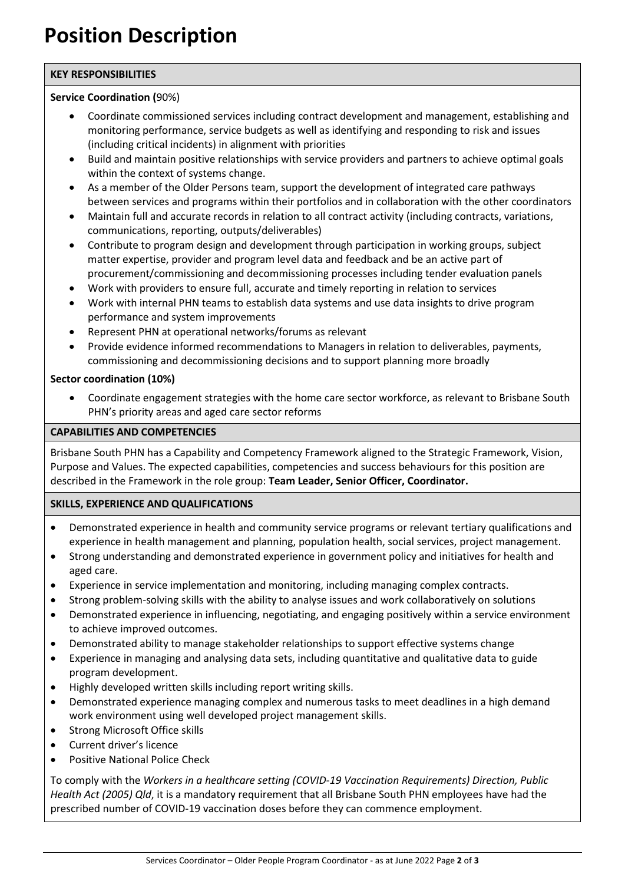# **Position Description**

### **KEY RESPONSIBILITIES**

#### **Service Coordination (**90%)

- Coordinate commissioned services including contract development and management, establishing and monitoring performance, service budgets as well as identifying and responding to risk and issues (including critical incidents) in alignment with priorities
- Build and maintain positive relationships with service providers and partners to achieve optimal goals within the context of systems change.
- As a member of the Older Persons team, support the development of integrated care pathways between services and programs within their portfolios and in collaboration with the other coordinators
- Maintain full and accurate records in relation to all contract activity (including contracts, variations, communications, reporting, outputs/deliverables)
- Contribute to program design and development through participation in working groups, subject matter expertise, provider and program level data and feedback and be an active part of procurement/commissioning and decommissioning processes including tender evaluation panels
- Work with providers to ensure full, accurate and timely reporting in relation to services
- Work with internal PHN teams to establish data systems and use data insights to drive program performance and system improvements
- Represent PHN at operational networks/forums as relevant
- Provide evidence informed recommendations to Managers in relation to deliverables, payments, commissioning and decommissioning decisions and to support planning more broadly

## **Sector coordination (10%)**

• Coordinate engagement strategies with the home care sector workforce, as relevant to Brisbane South PHN's priority areas and aged care sector reforms

### **CAPABILITIES AND COMPETENCIES**

Brisbane South PHN has a Capability and Competency Framework aligned to the Strategic Framework, Vision, Purpose and Values. The expected capabilities, competencies and success behaviours for this position are described in the Framework in the role group: **Team Leader, Senior Officer, Coordinator.**

## **SKILLS, EXPERIENCE AND QUALIFICATIONS**

- Demonstrated experience in health and community service programs or relevant tertiary qualifications and experience in health management and planning, population health, social services, project management.
- Strong understanding and demonstrated experience in government policy and initiatives for health and aged care.
- Experience in service implementation and monitoring, including managing complex contracts.
- Strong problem-solving skills with the ability to analyse issues and work collaboratively on solutions
- Demonstrated experience in influencing, negotiating, and engaging positively within a service environment to achieve improved outcomes.
- Demonstrated ability to manage stakeholder relationships to support effective systems change
- Experience in managing and analysing data sets, including quantitative and qualitative data to guide program development.
- Highly developed written skills including report writing skills.
- Demonstrated experience managing complex and numerous tasks to meet deadlines in a high demand work environment using well developed project management skills.
- Strong Microsoft Office skills
- Current driver's licence
- Positive National Police Check

To comply with the *Workers in a healthcare setting (COVID-19 Vaccination Requirements) Direction, Public Health Act (2005) Qld*, it is a mandatory requirement that all Brisbane South PHN employees have had the prescribed number of COVID-19 vaccination doses before they can commence employment.